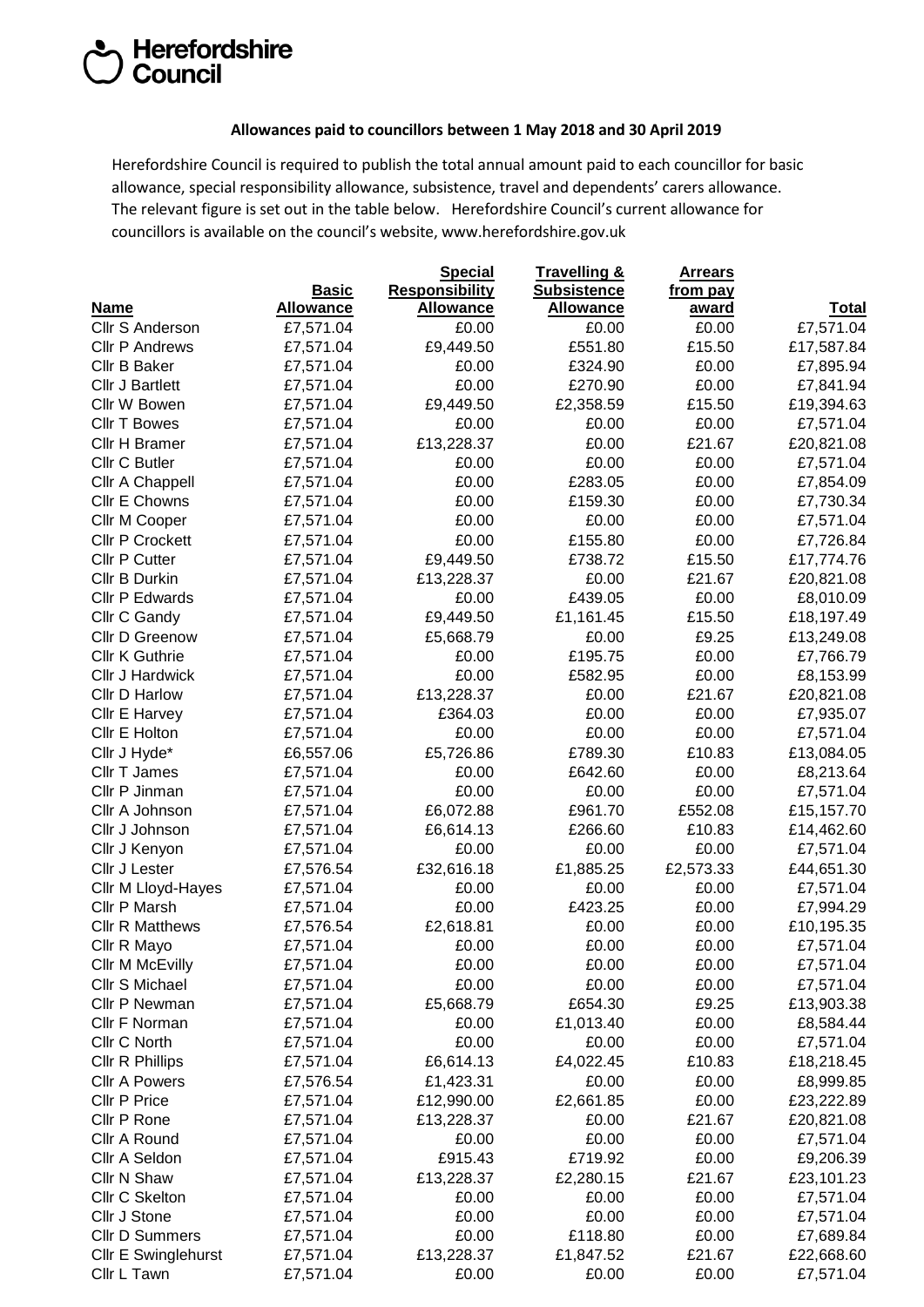## Herefordshire<br>Council

## **Allowances paid to councillors between 1 May 2018 and 30 April 2019**

Herefordshire Council is required to publish the total annual amount paid to each councillor for basic allowance, special responsibility allowance, subsistence, travel and dependents' carers allowance. The relevant figure is set out in the table below. Herefordshire Council's current allowance for councillors is available on the council's website, [www.herefordshire.gov.uk](http://www.herefordshire.gov.uk/)

|                        |                  | <b>Special</b>        | Travelling &       | <b>Arrears</b> |              |
|------------------------|------------------|-----------------------|--------------------|----------------|--------------|
|                        | <b>Basic</b>     | <b>Responsibility</b> | <b>Subsistence</b> | from pay       |              |
| <b>Name</b>            | <b>Allowance</b> | Allowance             | <b>Allowance</b>   | award          | <b>Total</b> |
| Cllr S Anderson        | £7,571.04        | £0.00                 | £0.00              | £0.00          | £7,571.04    |
| <b>Cllr P Andrews</b>  | £7,571.04        | £9,449.50             | £551.80            | £15.50         | £17,587.84   |
| Cllr B Baker           | £7,571.04        | £0.00                 | £324.90            | £0.00          | £7,895.94    |
| <b>Cllr J Bartlett</b> | £7,571.04        | £0.00                 | £270.90            | £0.00          | £7,841.94    |
| Cllr W Bowen           | £7,571.04        | £9,449.50             | £2,358.59          | £15.50         | £19,394.63   |
| <b>Cllr T Bowes</b>    | £7,571.04        | £0.00                 | £0.00              | £0.00          | £7,571.04    |
| Cllr H Bramer          | £7,571.04        | £13,228.37            | £0.00              | £21.67         | £20,821.08   |
| Cllr C Butler          | £7,571.04        | £0.00                 | £0.00              | £0.00          | £7,571.04    |
| Cllr A Chappell        | £7,571.04        | £0.00                 | £283.05            | £0.00          | £7,854.09    |
| Cllr E Chowns          | £7,571.04        | £0.00                 | £159.30            | £0.00          | £7,730.34    |
| Cllr M Cooper          | £7,571.04        | £0.00                 | £0.00              | £0.00          | £7,571.04    |
| <b>Cllr P Crockett</b> | £7,571.04        | £0.00                 | £155.80            | £0.00          | £7,726.84    |
| Cllr P Cutter          | £7,571.04        | £9,449.50             | £738.72            | £15.50         | £17,774.76   |
| Cllr B Durkin          | £7,571.04        | £13,228.37            | £0.00              | £21.67         | £20,821.08   |
| Cllr P Edwards         | £7,571.04        | £0.00                 | £439.05            | £0.00          | £8,010.09    |
| Cllr C Gandy           | £7,571.04        | £9,449.50             | £1,161.45          | £15.50         | £18,197.49   |
| <b>Cllr D Greenow</b>  | £7,571.04        | £5,668.79             | £0.00              | £9.25          | £13,249.08   |
| Cllr K Guthrie         | £7,571.04        | £0.00                 | £195.75            | £0.00          | £7,766.79    |
| Cllr J Hardwick        | £7,571.04        | £0.00                 | £582.95            | £0.00          | £8,153.99    |
| Cllr D Harlow          | £7,571.04        | £13,228.37            | £0.00              | £21.67         | £20,821.08   |
| Cllr E Harvey          | £7,571.04        | £364.03               | £0.00              | £0.00          | £7,935.07    |
| Cllr E Holton          | £7,571.04        | £0.00                 | £0.00              | £0.00          | £7,571.04    |
| Cllr J Hyde*           | £6,557.06        | £5,726.86             | £789.30            | £10.83         | £13,084.05   |
| Cllr T James           | £7,571.04        | £0.00                 | £642.60            | £0.00          | £8,213.64    |
| Cllr P Jinman          | £7,571.04        | £0.00                 | £0.00              | £0.00          | £7,571.04    |
| Cllr A Johnson         | £7,571.04        | £6,072.88             | £961.70            | £552.08        | £15,157.70   |
| Cllr J Johnson         | £7,571.04        | £6,614.13             | £266.60            | £10.83         | £14,462.60   |
| Cllr J Kenyon          | £7,571.04        | £0.00                 | £0.00              | £0.00          | £7,571.04    |
| Cllr J Lester          | £7,576.54        | £32,616.18            | £1,885.25          | £2,573.33      | £44,651.30   |
| Cllr M Lloyd-Hayes     | £7,571.04        | £0.00                 | £0.00              | £0.00          | £7,571.04    |
| Cllr P Marsh           | £7,571.04        | £0.00                 | £423.25            | £0.00          | £7,994.29    |
| <b>Cllr R Matthews</b> | £7,576.54        | £2,618.81             | £0.00              | £0.00          | £10,195.35   |
| Cllr R Mayo            | £7,571.04        | £0.00                 | £0.00              | £0.00          | £7,571.04    |
| Cllr M McEvilly        | £7,571.04        | £0.00                 | £0.00              | £0.00          | £7,571.04    |
| Cllr S Michael         | £7,571.04        | £0.00                 | £0.00              | £0.00          | £7,571.04    |
| Cllr P Newman          | £7,571.04        | £5,668.79             | £654.30            | £9.25          | £13,903.38   |
| Cllr F Norman          | £7,571.04        | £0.00                 | £1,013.40          | £0.00          | £8,584.44    |
| Cllr C North           | £7,571.04        | £0.00                 | £0.00              | £0.00          | £7,571.04    |
| Cllr R Phillips        | £7,571.04        | £6,614.13             | £4,022.45          | £10.83         | £18,218.45   |
| <b>Cllr A Powers</b>   | £7,576.54        | £1,423.31             | £0.00              | £0.00          | £8,999.85    |
| <b>Cllr P Price</b>    | £7,571.04        | £12,990.00            | £2,661.85          | £0.00          | £23,222.89   |
| Cllr P Rone            | £7,571.04        | £13,228.37            | £0.00              | £21.67         | £20,821.08   |
| Cllr A Round           | £7,571.04        | £0.00                 | £0.00              | £0.00          | £7,571.04    |
| Cllr A Seldon          | £7,571.04        | £915.43               | £719.92            | £0.00          | £9,206.39    |
| Cllr N Shaw            | £7,571.04        | £13,228.37            | £2,280.15          | £21.67         | £23,101.23   |
| Cllr C Skelton         | £7,571.04        | £0.00                 | £0.00              | £0.00          | £7,571.04    |
| Cllr J Stone           | £7,571.04        | £0.00                 | £0.00              | £0.00          | £7,571.04    |
| <b>Cllr D Summers</b>  | £7,571.04        | £0.00                 | £118.80            | £0.00          | £7,689.84    |
| Cllr E Swinglehurst    | £7,571.04        | £13,228.37            | £1,847.52          | £21.67         | £22,668.60   |
| Cllr L Tawn            | £7,571.04        | £0.00                 | £0.00              | £0.00          | £7,571.04    |
|                        |                  |                       |                    |                |              |